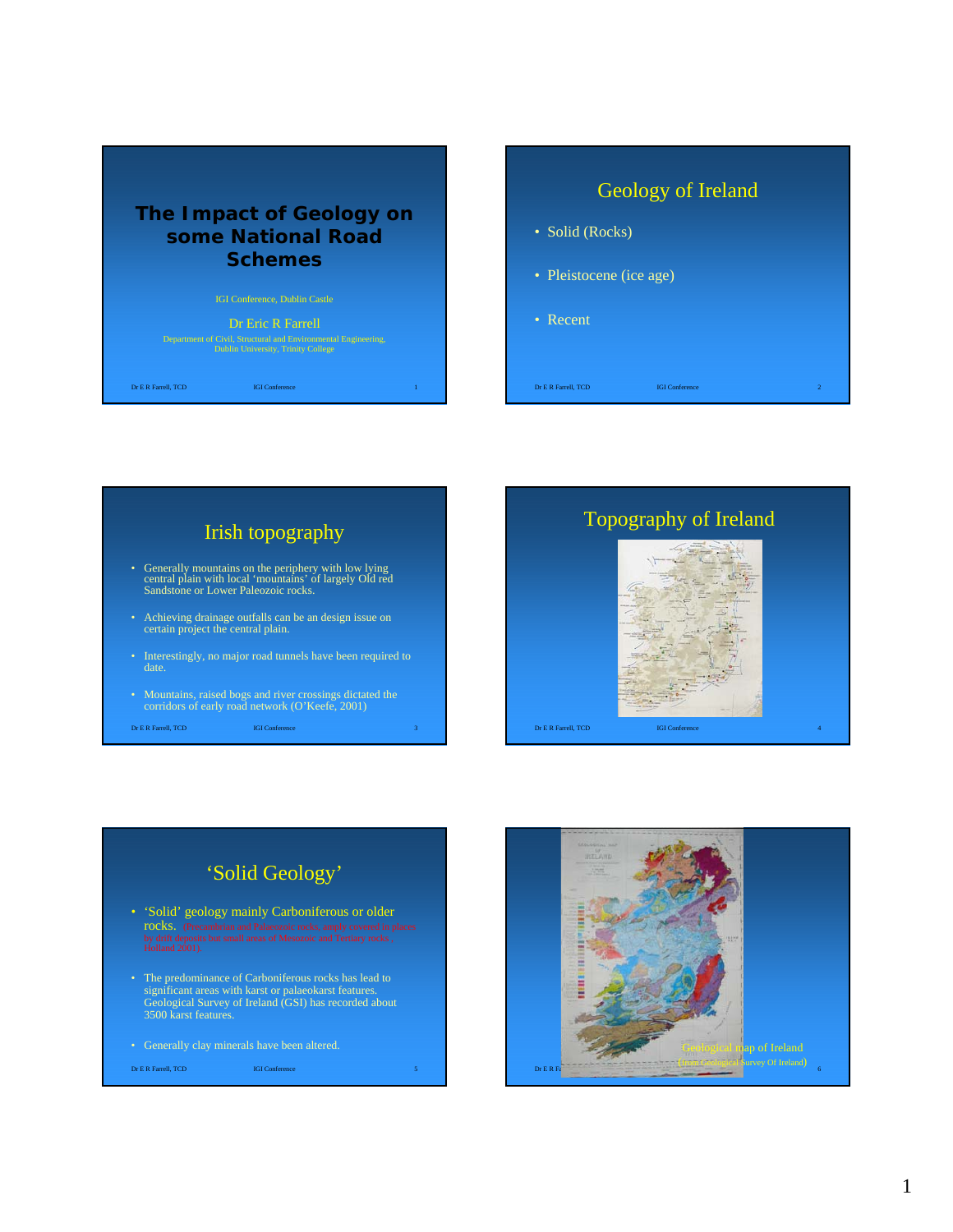#### **The Impact of Geology on some National Road Schemes**

#### Dr Eric R Farrell

Department of Civil, Structural and Environmental Engineering, Dublin University, Trinity College

**Dr E R Farrell, TCD IGI Conference** 

# Geology of Ireland • Solid (Rocks) • Pleistocene (ice age) • Recent

Dr E R Farrell, TCD IGI Conference 2

 $\sqrt{2}$ 



## 'Solid Geology'

- 'Solid' geology mainly Carboniferous or older rocks. (Precambrian and Palaeozoic rocks, amply covered in places by drift deposits but small areas of Mesozoic and Tertiary rocks , Holland 2001).
- The predominance of Carboniferous rocks has lead to significant areas with karst or palaeokarst features. Geological Survey of Ireland (GSI) has recorded about 3500 karst features.
- 

**Dr E R Farrell, TCD IGI Conference** 

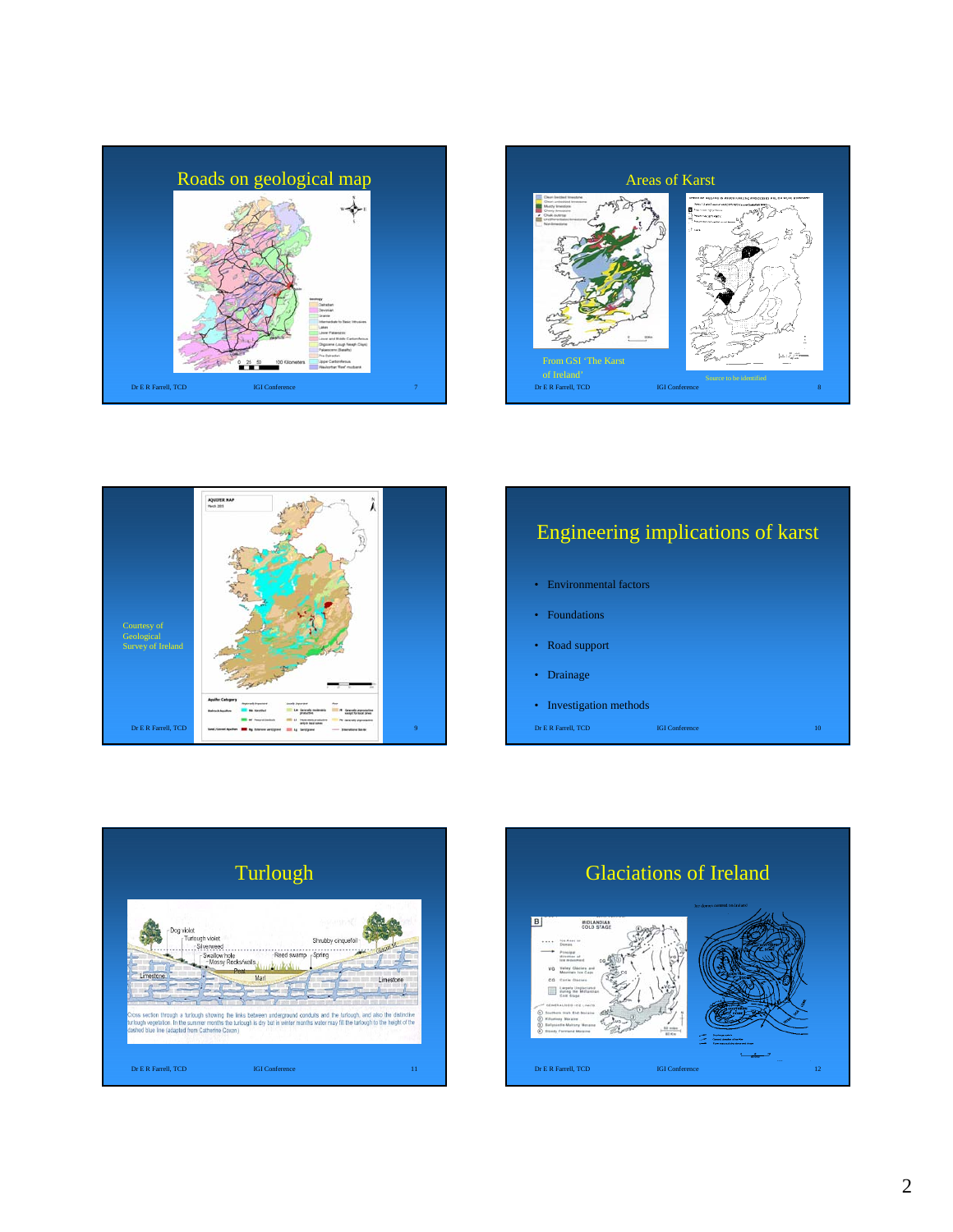





# Dr E R Farrell, TCD **IGI Conference** Engineering implications of karst • Environmental factors • Foundations • Road support • Drainage • Investigation methods



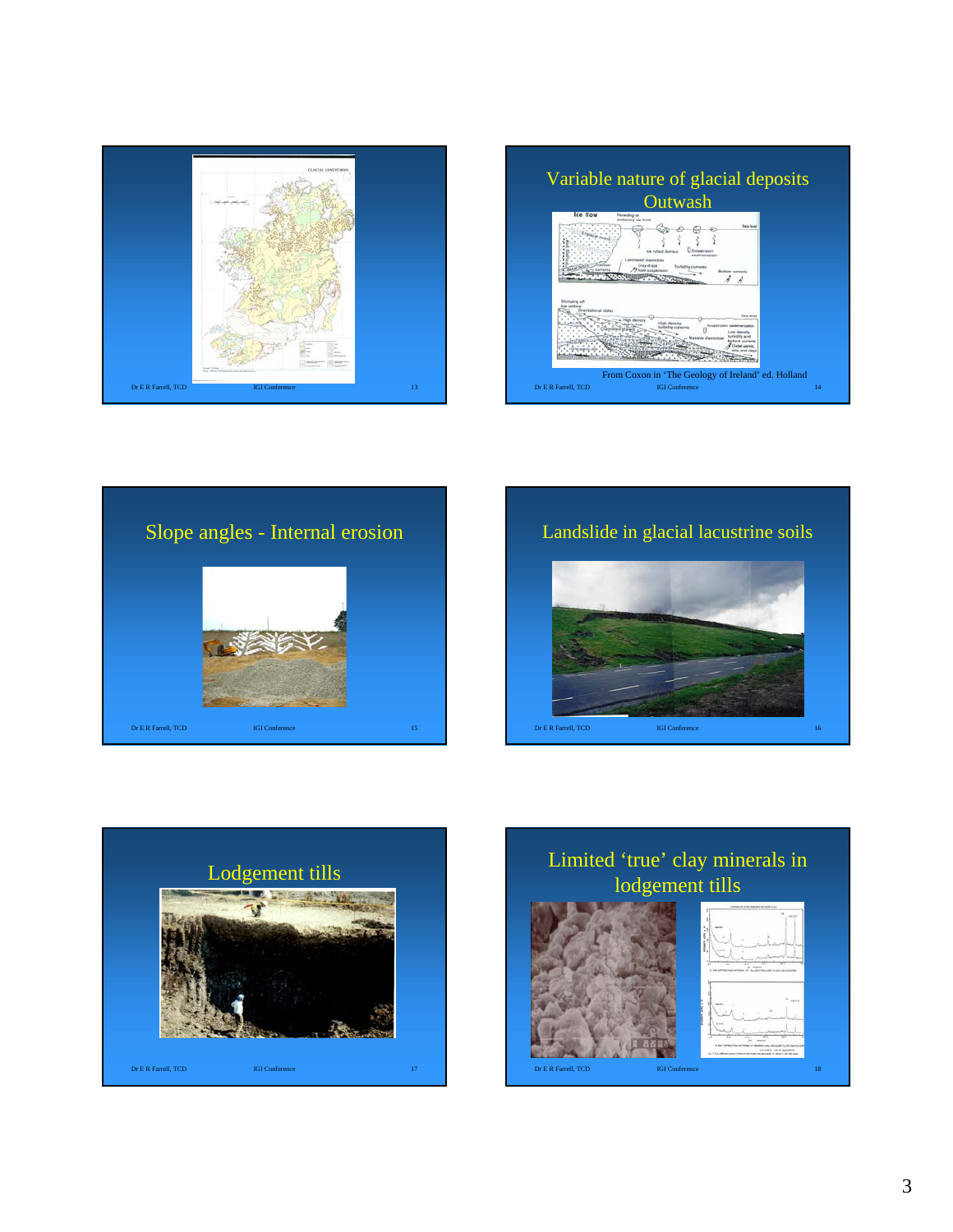









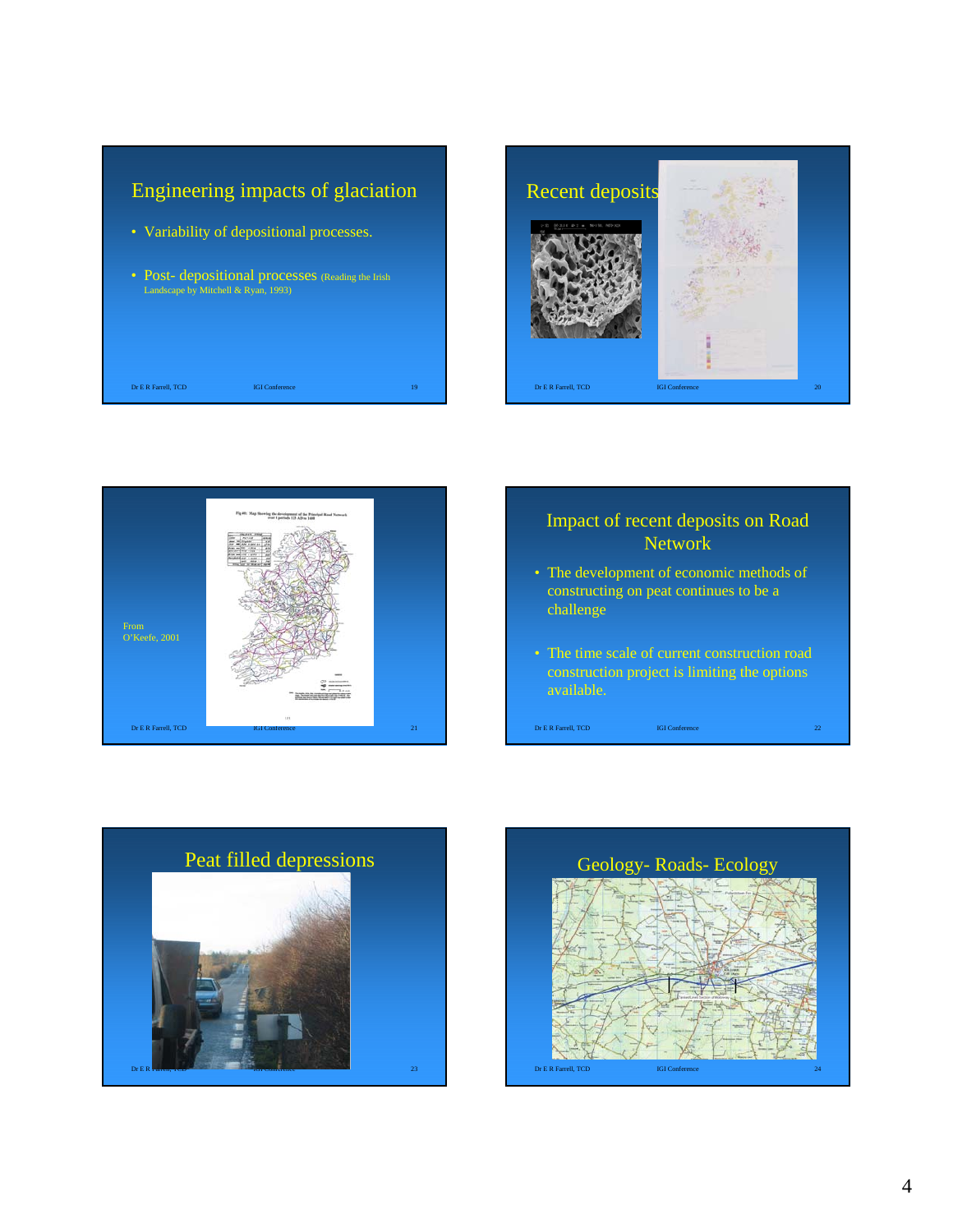





#### Impact of recent deposits on Road Network

- The development of economic methods of constructing on peat continues to be a challenge
- The time scale of current construction road construction project is limiting the options available.

Dr E R Farrell, TCD IGI Conference 22



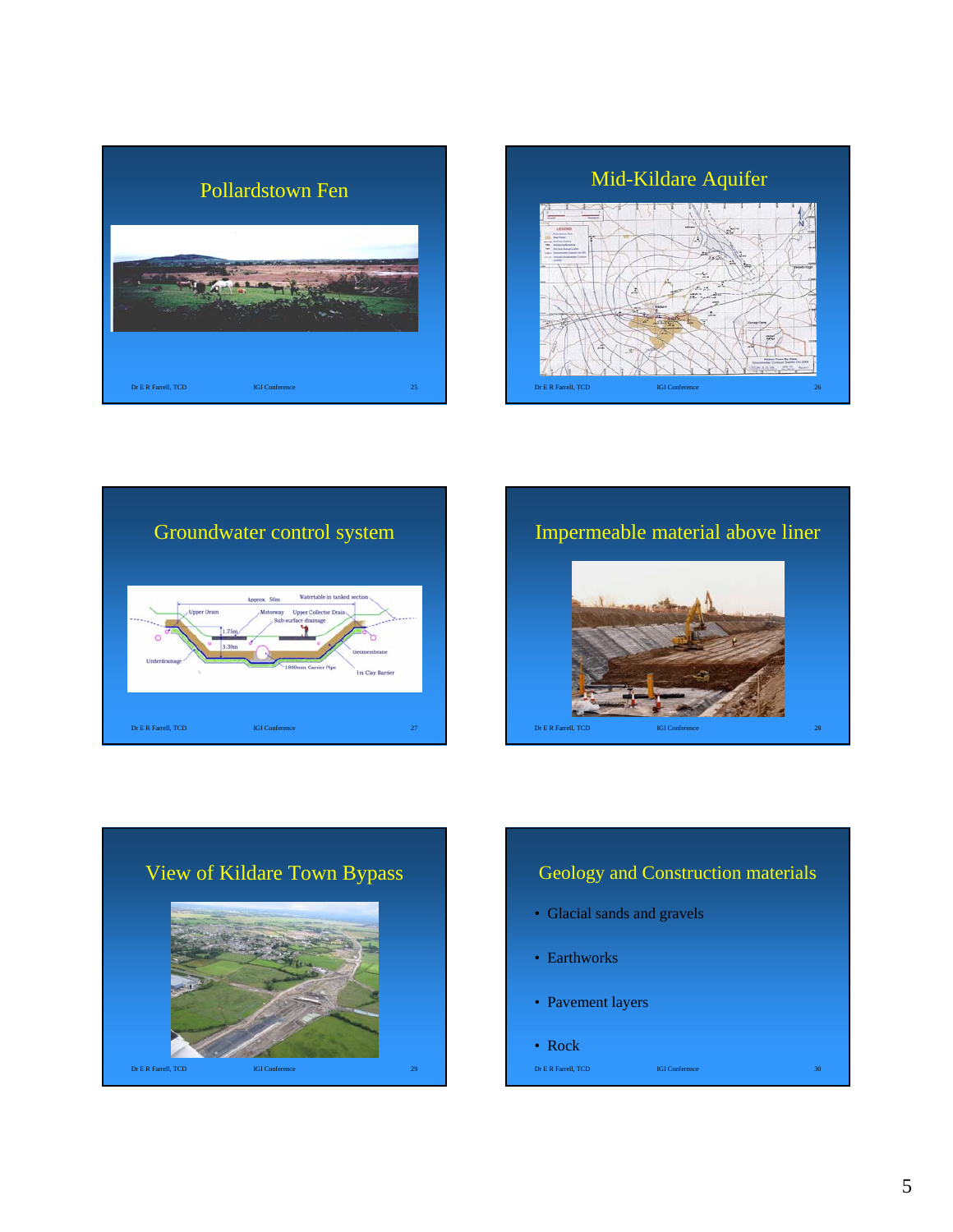





Impermeable material above liner





### Geology and Construction materials

• Glacial sands and gravels

**Dr E R Farrell, TCD IGI Conference** 

- Earthworks
- Pavement layers
- Rock